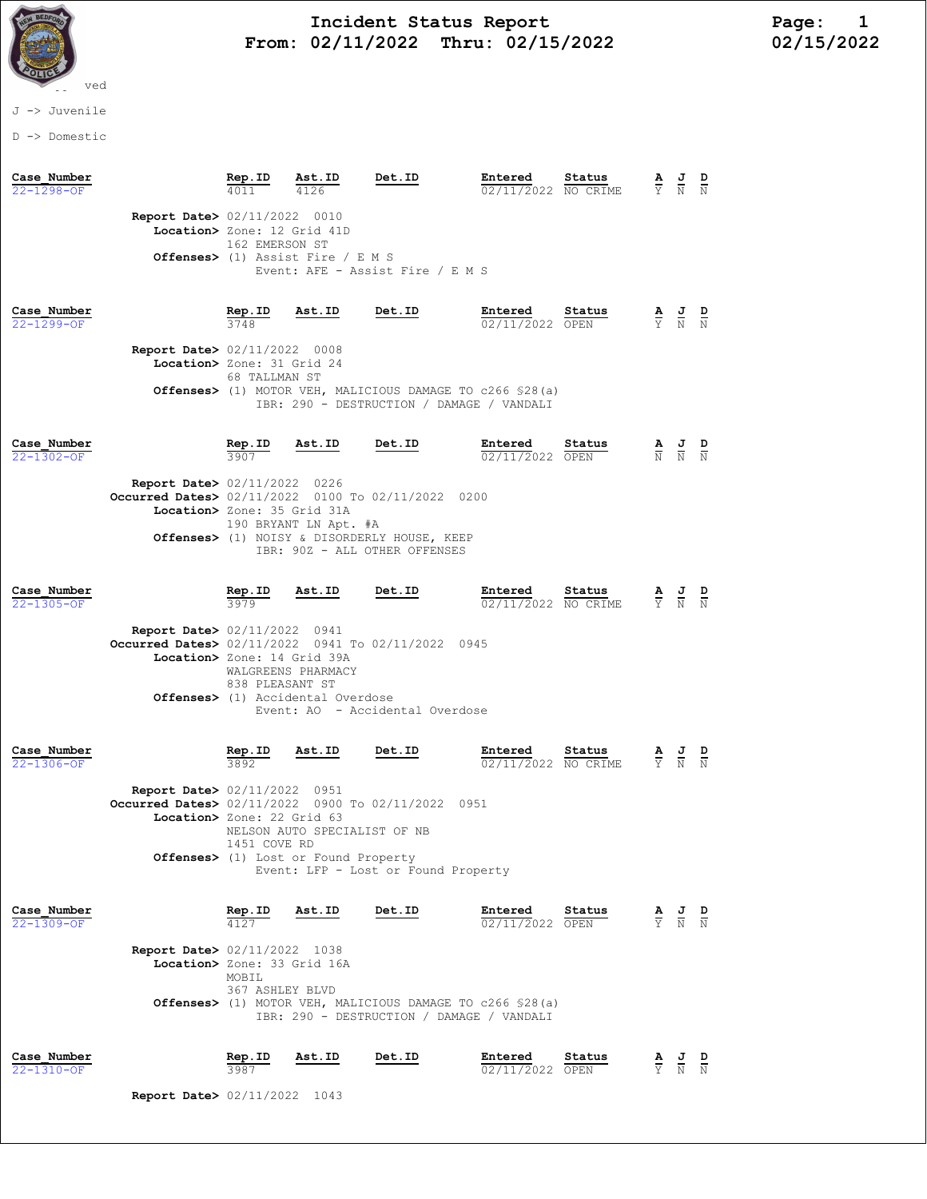

# Incident Status Report<br>02/11/2022 Thru: 02/15/2022 102/15/2022 102/15/2022 From: 02/11/2022 Thru: 02/15/2022

### J -> Juvenile

D -> Domestic

| Case Number<br>$22 - 1298 - OF$ |                                                                                                                             | $\frac{\text{Rep. ID}}{4011}$                   | $\frac{\texttt{Ast.ID}}{4126}$                                                                        | Det.ID                                                                                                                            | Entered<br>02/11/2022 NO CRIME | Status |                                                                 | $\frac{\mathbf{A}}{\mathbf{Y}}$ $\frac{\mathbf{J}}{\mathbf{N}}$ $\frac{\mathbf{D}}{\mathbf{N}}$ |  |
|---------------------------------|-----------------------------------------------------------------------------------------------------------------------------|-------------------------------------------------|-------------------------------------------------------------------------------------------------------|-----------------------------------------------------------------------------------------------------------------------------------|--------------------------------|--------|-----------------------------------------------------------------|-------------------------------------------------------------------------------------------------|--|
|                                 | <b>Report Date&gt;</b> 02/11/2022 0010<br>Location> Zone: 12 Grid 41D                                                       | 162 EMERSON ST                                  | Offenses> (1) Assist Fire / E M S                                                                     | Event: AFE - Assist Fire / E M S                                                                                                  |                                |        |                                                                 |                                                                                                 |  |
| Case Number<br>22-1299-OF       | <b>Report Date&gt; 02/11/2022 0008</b><br>Location> Zone: 31 Grid 24                                                        | $\frac{\texttt{Rep.ID}}{3748}$<br>68 TALLMAN ST | <u>Ast.ID</u>                                                                                         | <u>Det.ID</u><br><b>Offenses&gt;</b> (1) MOTOR VEH, MALICIOUS DAMAGE TO c266 \$28(a)<br>IBR: 290 - DESTRUCTION / DAMAGE / VANDALI | Entered<br>02/11/2022 OPEN     | Status |                                                                 | $\frac{\mathbf{A}}{\mathbf{Y}}$ $\frac{\mathbf{J}}{\mathbf{N}}$ $\frac{\mathbf{D}}{\mathbf{N}}$ |  |
| Case Number<br>$22 - 1302 - OF$ | <b>Report Date&gt; 02/11/2022 0226</b><br>Occurred Dates> 02/11/2022 0100 To 02/11/2022 0200<br>Location> Zone: 35 Grid 31A | $\frac{\texttt{Rep.ID}}{3907}$                  | <u>Ast.ID</u><br>190 BRYANT LN Apt. #A                                                                | Det.ID<br>Offenses> (1) NOISY & DISORDERLY HOUSE, KEEP<br>IBR: 90Z - ALL OTHER OFFENSES                                           | Entered<br>02/11/2022 OPEN     | Status |                                                                 | $\frac{\mathbf{A}}{\mathbb{N}}$ $\frac{\mathbf{J}}{\mathbb{N}}$ $\frac{\mathbf{D}}{\mathbb{N}}$ |  |
| Case Number<br>$22 - 1305 - OF$ | <b>Report Date&gt; 02/11/2022 0941</b><br>Occurred Dates> 02/11/2022 0941 To 02/11/2022 0945<br>Location> Zone: 14 Grid 39A | 838 PLEASANT ST                                 | Rep. ID Ast. ID Det. ID<br>$\frac{3979}{}$<br>WALGREENS PHARMACY<br>Offenses> (1) Accidental Overdose | Event: AO - Accidental Overdose                                                                                                   | Entered<br>02/11/2022 NO CRIME | Status | $\frac{\mathbf{A}}{\mathbf{Y}}$ $\frac{\mathbf{J}}{\mathbf{N}}$ |                                                                                                 |  |
| Case Number<br>22-1306-OF       | <b>Report Date&gt; 02/11/2022 0951</b><br>Occurred Dates> 02/11/2022 0900 To 02/11/2022 0951<br>Location> Zone: 22 Grid 63  | $rac{\text{Rep. ID}}{3892}$<br>1451 COVE RD     | Ast.ID<br>NELSON AUTO SPECIALIST OF NB<br><b>Offenses&gt;</b> (1) Lost or Found Property              | Det.ID<br>Event: LFP - Lost or Found Property                                                                                     | Entered<br>02/11/2022 NO CRIME | Status |                                                                 | $\frac{\mathbf{A}}{\mathbf{Y}}$ $\frac{\mathbf{J}}{\mathbf{N}}$ $\frac{\mathbf{D}}{\mathbf{N}}$ |  |
| Case Number<br>$22 - 1309 - OF$ | <b>Report Date&gt; 02/11/2022 1038</b><br>Location> Zone: 33 Grid 16A                                                       | Rep.ID<br>MOBTT.<br>367 ASHLEY BLVD             | Ast.ID                                                                                                | Det.ID<br><b>Offenses&gt;</b> (1) MOTOR VEH, MALICIOUS DAMAGE TO c266 \$28(a)<br>IBR: 290 - DESTRUCTION / DAMAGE / VANDALI        | Entered<br>02/11/2022 OPEN     | Status | $\frac{\mathbf{A}}{\mathbf{Y}}$ $\frac{\mathbf{J}}{\mathbf{N}}$ |                                                                                                 |  |
| Case Number<br>22-1310-OF       | <b>Report Date&gt; 02/11/2022 1043</b>                                                                                      | Rep.ID<br>3987                                  | Ast.ID                                                                                                | Det.ID                                                                                                                            | Entered<br>02/11/2022 OPEN     | Status | $\frac{\mathbf{A}}{\mathrm{Y}}$                                 | $\frac{1}{N}$                                                                                   |  |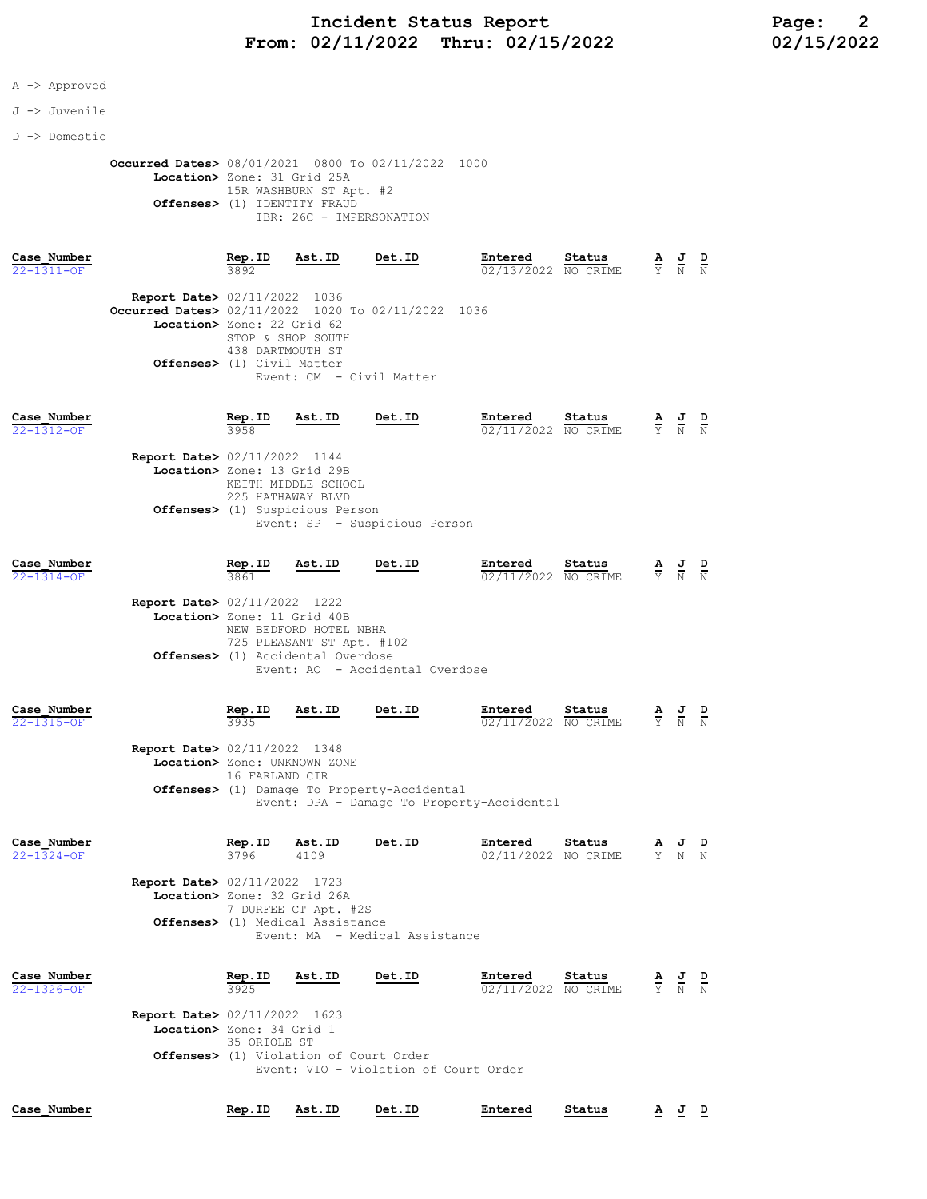# Incident Status Report<br>02/11/2022 Thru: 02/15/2022 12/15/2022 202/15/2022 From:  $02/11/2022$  Thru:  $02/15/2022$

## A -> Approved

J -> Juvenile

D -> Domestic

 Occurred Dates> 08/01/2021 0800 To 02/11/2022 1000 Location> Zone: 31 Grid 25A 15R WASHBURN ST Apt. #2 Offenses> (1) IDENTITY FRAUD IBR: 26C - IMPERSONATION

| Case Number<br>$22 - 1311 - 0F$ |                                                                                              | Rep.ID<br>3892                        | Ast.ID | Det.ID                   | Entered<br>02/13/2022 NO CRIME | Status | $\frac{\mathbf{A}}{\mathbf{Y}}$ $\frac{\mathbf{J}}{\mathbf{N}}$ $\frac{\mathbf{D}}{\mathbf{N}}$ |  |
|---------------------------------|----------------------------------------------------------------------------------------------|---------------------------------------|--------|--------------------------|--------------------------------|--------|-------------------------------------------------------------------------------------------------|--|
|                                 | <b>Report Date&gt; 02/11/2022 1036</b><br>Occurred Dates> 02/11/2022 1020 To 02/11/2022 1036 |                                       |        |                          |                                |        |                                                                                                 |  |
|                                 | Location> Zone: 22 Grid 62                                                                   |                                       |        |                          |                                |        |                                                                                                 |  |
|                                 | <b>Offenses&gt;</b> (1) Civil Matter                                                         | STOP & SHOP SOUTH<br>438 DARTMOUTH ST |        | Event: CM - Civil Matter |                                |        |                                                                                                 |  |
|                                 |                                                                                              |                                       |        |                          |                                |        |                                                                                                 |  |

| Case Number<br>$22 - 1312 - OF$ | Rep.ID<br>3958 | Ast.ID                                                                     | Det.ID | Entered<br>02/11/2022 NO CRIME | Status | $\frac{\mathbf{A}}{\mathrm{Y}}$ | J<br>$\overline{N}$ | D<br>N |
|---------------------------------|----------------|----------------------------------------------------------------------------|--------|--------------------------------|--------|---------------------------------|---------------------|--------|
| Report Date> 02/11/2022 1144    |                |                                                                            |        |                                |        |                                 |                     |        |
|                                 |                | Location> Zone: 13 Grid 29B<br>KEITH MIDDLE SCHOOL<br>225 HATHAWAY BLVD    |        |                                |        |                                 |                     |        |
|                                 |                | <b>Offenses&gt;</b> (1) Suspicious Person<br>Event: SP - Suspicious Person |        |                                |        |                                 |                     |        |

| Case Number<br>$22 - 1314 - OF$                         | Rep.ID<br>3861 | Ast.ID                                                                             | Det.ID                          | Entered | Status<br>$02/11/2022$ NO CRIME | $\frac{\mathbf{A}}{\mathbf{Y}}$ $\frac{\mathbf{J}}{\mathbf{N}}$ $\frac{\mathbf{D}}{\mathbf{N}}$ |  |
|---------------------------------------------------------|----------------|------------------------------------------------------------------------------------|---------------------------------|---------|---------------------------------|-------------------------------------------------------------------------------------------------|--|
| <b>Report Date&gt; 02/11/2022 1222</b>                  |                |                                                                                    |                                 |         |                                 |                                                                                                 |  |
|                                                         |                | Location> Zone: 11 Grid 40B<br>NEW BEDFORD HOTEL NBHA<br>725 PLEASANT ST Apt. #102 |                                 |         |                                 |                                                                                                 |  |
|                                                         |                | Offenses> (1) Accidental Overdose                                                  | Event: AO - Accidental Overdose |         |                                 |                                                                                                 |  |
| and a second contract of the second second and a second |                |                                                                                    |                                 |         | $\sim$ $\sim$ $\sim$            |                                                                                                 |  |

| Case Number                     |                                        | Rep.ID         | Ast.ID                       | Det.ID                                      | Entered                                    | Status             | А      | J      | D      |
|---------------------------------|----------------------------------------|----------------|------------------------------|---------------------------------------------|--------------------------------------------|--------------------|--------|--------|--------|
| $22 - 1315 - OF$                |                                        | 3935           |                              |                                             | 02/11/2022                                 | NO CRIME           | Y      | Ν      | N      |
|                                 | <b>Report Date&gt; 02/11/2022 1348</b> | 16 FARLAND CIR | Location> Zone: UNKNOWN ZONE |                                             |                                            |                    |        |        |        |
|                                 |                                        |                |                              | Offenses> (1) Damage To Property-Accidental | Event: DPA - Damage To Property-Accidental |                    |        |        |        |
| Case Number<br>$22 - 1324 - OF$ |                                        | Rep.ID<br>3796 | Ast.ID<br>4109               | Det.ID                                      | Entered<br>02/11/2022                      | Status<br>NO CRIME | А<br>Y | J<br>N | D<br>N |

| <b>Report Date&gt; 02/11/2022 1723</b>     |
|--------------------------------------------|
| Location> Zone: 32 Grid 26A                |
| 7 DURFEE CT Apt. #2S                       |
| <b>Offenses&gt;</b> (1) Medical Assistance |
| Event: MA - Medical Assistance             |

| Case Number<br>$22 - 1326 - OF$                                     | Rep.ID<br>3925 | Ast.ID | Det.ID                                                                                    | Entered<br>02/11/2022 NO CRIME | Status | $\mathbf{A}$<br>$\overline{Y}$ N | 프 | D<br>N |
|---------------------------------------------------------------------|----------------|--------|-------------------------------------------------------------------------------------------|--------------------------------|--------|----------------------------------|---|--------|
| <b>Report Date&gt; 02/11/2022</b> 1623<br>Location> Zone: 34 Grid 1 | 35 ORTOLE ST   |        |                                                                                           |                                |        |                                  |   |        |
|                                                                     |                |        | <b>Offenses&gt;</b> (1) Violation of Court Order<br>Event: VIO - Violation of Court Order |                                |        |                                  |   |        |

| Case Number | Rep.ID | Ast.ID | <b>Det.ID</b> | Entered | Status | A |  |  |
|-------------|--------|--------|---------------|---------|--------|---|--|--|
|-------------|--------|--------|---------------|---------|--------|---|--|--|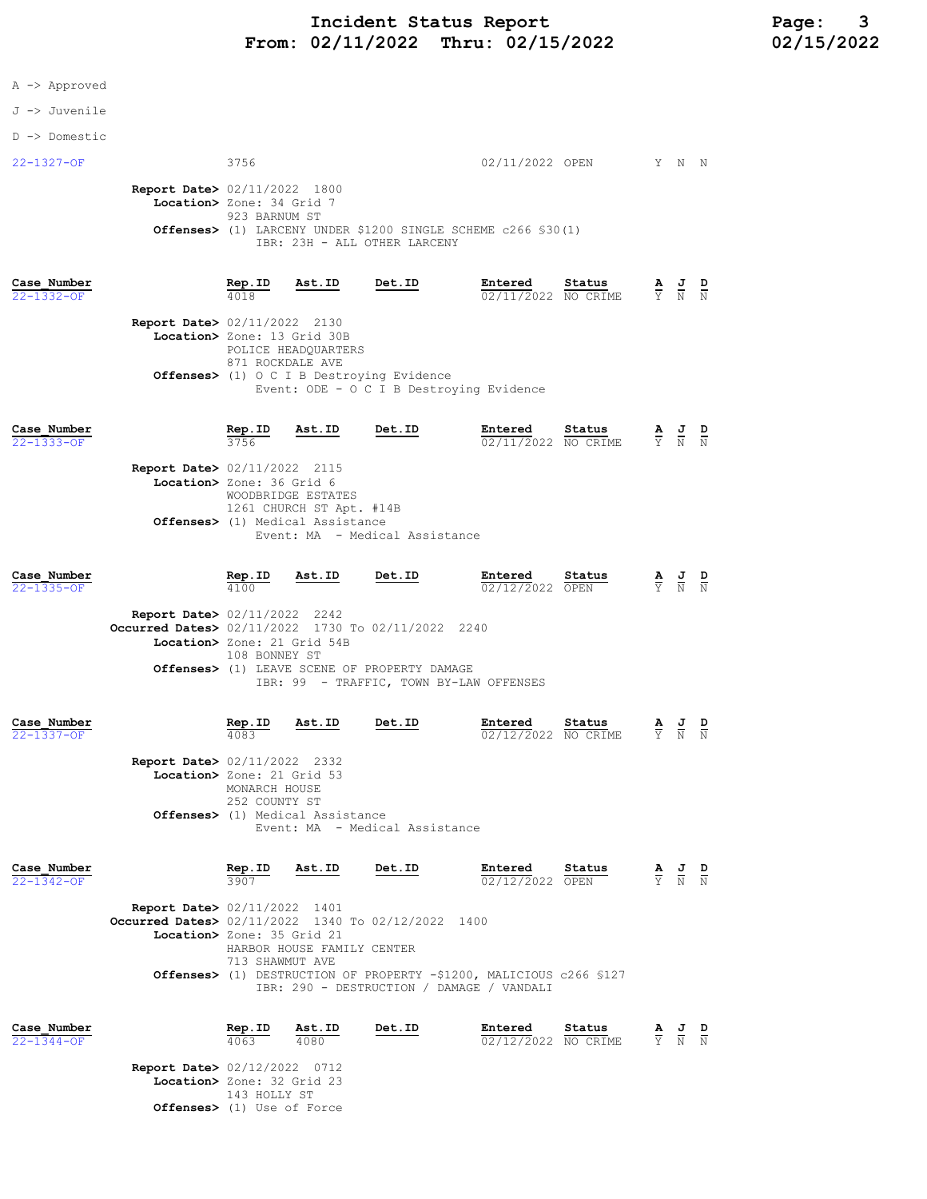# Incident Status Report<br>02/11/2022 Thru: 02/15/2022 102/15/2022 From:  $02/11/2022$  Thru:  $02/15/2022$

|  |  | Approved |
|--|--|----------|
|--|--|----------|

### J -> Juvenile

### D -> Domestic

| 22-1327-OF                      |                                                                       | 3756           |                      |                              | 02/11/2022 OPEN                                                         |        | N                                                                                               | N |
|---------------------------------|-----------------------------------------------------------------------|----------------|----------------------|------------------------------|-------------------------------------------------------------------------|--------|-------------------------------------------------------------------------------------------------|---|
|                                 | <b>Report Date&gt; 02/11/2022 1800</b>                                |                |                      |                              |                                                                         |        |                                                                                                 |   |
|                                 | Location> Zone: 34 Grid 7                                             |                |                      |                              |                                                                         |        |                                                                                                 |   |
|                                 |                                                                       | 923 BARNUM ST  |                      | IBR: 23H - ALL OTHER LARCENY | <b>Offenses&gt;</b> (1) LARCENY UNDER \$1200 SINGLE SCHEME c266 \$30(1) |        |                                                                                                 |   |
| Case Number<br>$22 - 1332 - 0F$ |                                                                       | Rep.ID<br>4018 | Ast.ID               | Det.ID                       | Entered<br>02/11/2022 NO CRIME                                          | Status | $\frac{\mathbf{A}}{\mathbf{Y}}$ $\frac{\mathbf{J}}{\mathbf{N}}$ $\frac{\mathbf{D}}{\mathbf{N}}$ |   |
|                                 | <b>Report Date&gt; 02/11/2022 2130</b><br>Location> Zone: 13 Grid 30B |                | DOI TOD. UDADOUADODO |                              |                                                                         |        |                                                                                                 |   |

 POLICE HEADQUARTERS 871 ROCKDALE AVE Offenses> (1) O C I B Destroying Evidence Event: ODE - O C I B Destroying Evidence

| Case Number<br>22-1333-OF              | Rep.ID<br>3756 | Ast.ID                                     | Det.ID                         | Entered<br>02/11/2022 NO CRIME | Status | $\Delta$ | J<br>Y N N | D |
|----------------------------------------|----------------|--------------------------------------------|--------------------------------|--------------------------------|--------|----------|------------|---|
| <b>Report Date&gt; 02/11/2022 2115</b> |                |                                            |                                |                                |        |          |            |   |
| Location> Zone: 36 Grid 6              |                |                                            |                                |                                |        |          |            |   |
|                                        |                | WOODBRIDGE ESTATES                         |                                |                                |        |          |            |   |
|                                        |                | 1261 CHURCH ST Apt. #14B                   |                                |                                |        |          |            |   |
|                                        |                | <b>Offenses&gt;</b> (1) Medical Assistance |                                |                                |        |          |            |   |
|                                        |                |                                            | Event: MA - Medical Assistance |                                |        |          |            |   |
|                                        |                |                                            |                                |                                |        |          |            |   |

| Case Number      |                                                    | Rep.ID        | Ast.ID | Det.ID                                       | Entered                                 | Status | $\mathbf{A}$ | 프     | D |
|------------------|----------------------------------------------------|---------------|--------|----------------------------------------------|-----------------------------------------|--------|--------------|-------|---|
| $22 - 1335 - OF$ |                                                    | 4100          |        |                                              | 02/12/2022 OPEN                         |        |              | Y N N |   |
|                  | <b>Report Date&gt; 02/11/2022 2242</b>             |               |        |                                              |                                         |        |              |       |   |
|                  | Occurred Dates> 02/11/2022 1730 To 02/11/2022 2240 |               |        |                                              |                                         |        |              |       |   |
|                  | Location> Zone: 21 Grid 54B                        | 108 BONNEY ST |        |                                              |                                         |        |              |       |   |
|                  |                                                    |               |        | Offenses> (1) LEAVE SCENE OF PROPERTY DAMAGE | IBR: 99 - TRAFFIC, TOWN BY-LAW OFFENSES |        |              |       |   |

| Case Number<br>$22 - 1337 - OF$ |                                                                      | Rep.ID<br>4083                 | Ast.ID                           | Det.ID                         | Entered<br>02/12/2022 | Status<br>NO CRIME | $\frac{\mathbf{A}}{\mathbf{Y}}$ | $\frac{1}{N}$ | ₽<br>$\mathbf N$ |
|---------------------------------|----------------------------------------------------------------------|--------------------------------|----------------------------------|--------------------------------|-----------------------|--------------------|---------------------------------|---------------|------------------|
|                                 | <b>Report Date&gt; 02/11/2022 2332</b><br>Location> Zone: 21 Grid 53 | MONARCH HOUSE<br>252 COUNTY ST | Offenses> (1) Medical Assistance | Event: MA - Medical Assistance |                       |                    |                                 |               |                  |
| Case Number<br>$22 - 1342 - OF$ | $B_{200}$ and $B_{20}$ and $A_{20}$ (11/0000 1/01                    | Rep.ID<br>3907                 | Ast.ID                           | Det.ID                         | Entered<br>02/12/2022 | Status<br>OPEN     | $rac{\mathbf{A}}{\mathbf{Y}}$   | $\frac{J}{N}$ | D                |

Report Date> 02/11/2022 1401 **Occurred Dates>** 02/11/2022 1340 To 02/12/2022 1400 Location> Zone: 35 Grid 21 HARBOR HOUSE FAMILY CENTER 713 SHAWMUT AVE Offenses> (1) DESTRUCTION OF PROPERTY -\$1200, MALICIOUS c266 §127 IBR: 290 - DESTRUCTION / DAMAGE / VANDALI

| Case Number      | Rep.ID                                 | Ast.ID | Det.ID | Entered             | Status | <u>a J D</u>                                 |  |
|------------------|----------------------------------------|--------|--------|---------------------|--------|----------------------------------------------|--|
| $22 - 1344 - 0F$ | 4063                                   | 4080   |        | 02/12/2022 NO CRIME |        | $\overline{Y}$ $\overline{N}$ $\overline{N}$ |  |
|                  |                                        |        |        |                     |        |                                              |  |
|                  | <b>Report Date&gt; 02/12/2022 0712</b> |        |        |                     |        |                                              |  |
|                  | Location> Zone: 32 Grid 23             |        |        |                     |        |                                              |  |
|                  | 143 HOLLY ST                           |        |        |                     |        |                                              |  |
|                  | <b>Offenses&gt;</b> (1) Use of Force   |        |        |                     |        |                                              |  |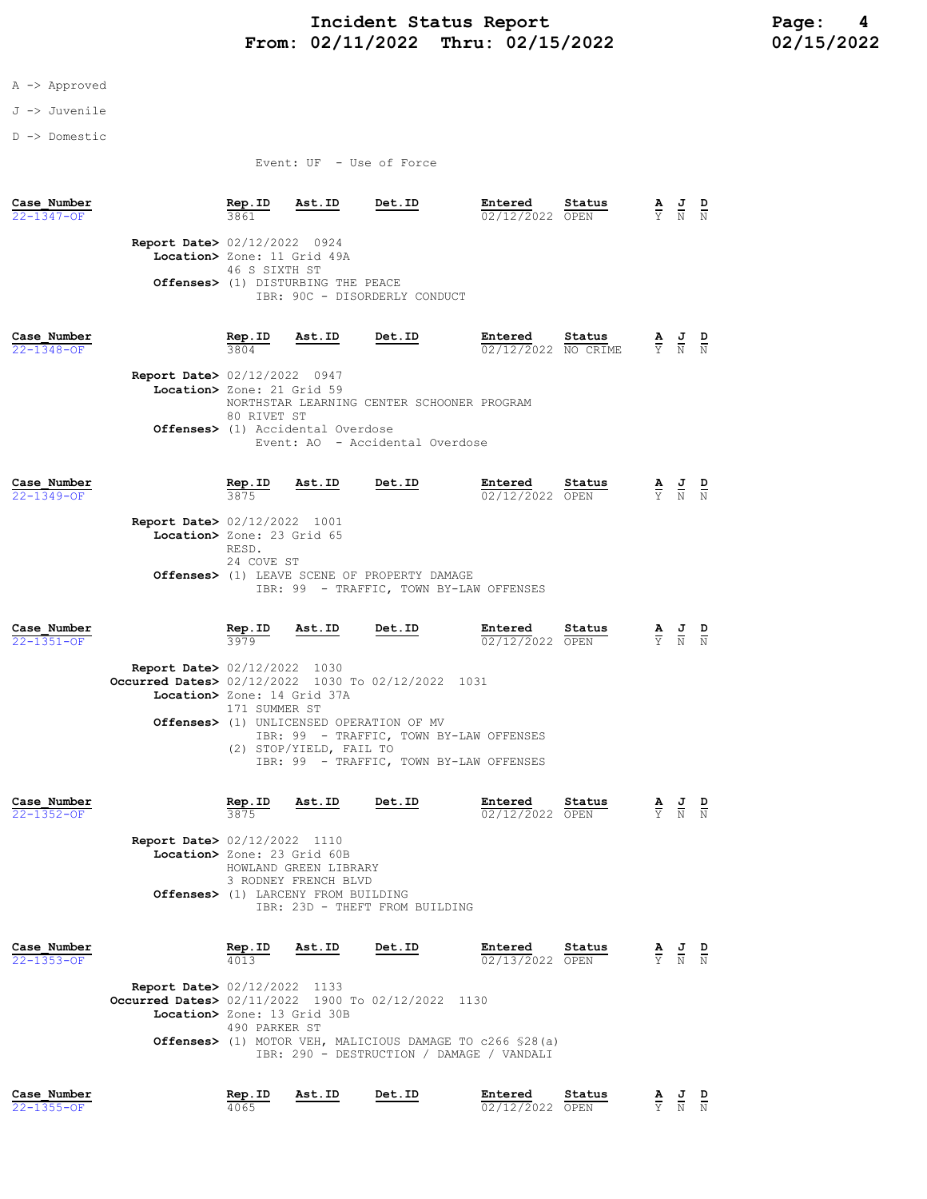### J -> Juvenile

D -> Domestic

Event: UF - Use of Force

| Case Number<br>$22 - 1347 - OF$ |                                                                                                                                       | Rep.ID                                        | Ast.ID                                                      | Det.ID                                                                                                           | Entered<br>02/12/2022 OPEN          | Status | $\overline{Y}$                  | $\overline{\text{N}}$                                                                           | $\frac{D}{N}$ |
|---------------------------------|---------------------------------------------------------------------------------------------------------------------------------------|-----------------------------------------------|-------------------------------------------------------------|------------------------------------------------------------------------------------------------------------------|-------------------------------------|--------|---------------------------------|-------------------------------------------------------------------------------------------------|---------------|
|                                 | <b>Report Date&gt;</b> 02/12/2022 0924<br>Location> Zone: 11 Grid 49A                                                                 | 46 S SIXTH ST                                 | Offenses> (1) DISTURBING THE PEACE                          |                                                                                                                  |                                     |        |                                 |                                                                                                 |               |
|                                 |                                                                                                                                       |                                               |                                                             | IBR: 90C - DISORDERLY CONDUCT                                                                                    |                                     |        |                                 |                                                                                                 |               |
| Case Number<br>$22 - 1348 - OF$ |                                                                                                                                       | <u>Rep.ID</u><br>3804                         | <u>Ast.ID</u>                                               | Det.ID                                                                                                           | Entered<br>02/12/2022 NO CRIME      | Status |                                 | $\frac{\mathbf{A}}{\mathbf{Y}}$ $\frac{\mathbf{J}}{\mathbf{N}}$ $\frac{\mathbf{D}}{\mathbf{N}}$ |               |
|                                 | <b>Report Date&gt; 02/12/2022 0947</b><br>Location> Zone: 21 Grid 59                                                                  | 80 RIVET ST                                   |                                                             | NORTHSTAR LEARNING CENTER SCHOONER PROGRAM                                                                       |                                     |        |                                 |                                                                                                 |               |
|                                 |                                                                                                                                       |                                               | <b>Offenses&gt;</b> (1) Accidental Overdose                 | Event: AO - Accidental Overdose                                                                                  |                                     |        |                                 |                                                                                                 |               |
| Case Number<br>$22 - 1349 - OF$ |                                                                                                                                       | Rep.ID<br>3875                                | Ast.ID                                                      | Det.ID                                                                                                           | Entered<br>02/12/2022 OPEN          | Status | $\frac{\mathbf{A}}{\mathrm{Y}}$ | $\frac{J}{N}$                                                                                   | $\frac{D}{N}$ |
|                                 | <b>Report Date&gt;</b> 02/12/2022 1001<br>Location> Zone: 23 Grid 65                                                                  | RESD.                                         |                                                             |                                                                                                                  |                                     |        |                                 |                                                                                                 |               |
|                                 |                                                                                                                                       | 24 COVE ST                                    |                                                             | <b>Offenses&gt;</b> (1) LEAVE SCENE OF PROPERTY DAMAGE<br>IBR: 99 - TRAFFIC, TOWN BY-LAW OFFENSES                |                                     |        |                                 |                                                                                                 |               |
| Case Number<br>$22 - 1351 - OF$ |                                                                                                                                       | $\frac{\text{Rep. ID}}{\text{exp. }}$<br>3979 | Ast.ID                                                      | Det.ID                                                                                                           | Entered<br>02/12/2022 OPEN          | Status |                                 | $\frac{\mathbf{A}}{\mathbf{Y}}$ $\frac{\mathbf{J}}{\mathbf{N}}$ $\frac{\mathbf{D}}{\mathbf{N}}$ |               |
|                                 | <b>Report Date&gt;</b> 02/12/2022 1030<br><b>Occurred Dates&gt;</b> 02/12/2022 1030 To 02/12/2022 1031<br>Location> Zone: 14 Grid 37A | 171 SUMMER ST                                 | Offenses> (1) UNLICENSED OPERATION OF MV                    | IBR: 99 - TRAFFIC, TOWN BY-LAW OFFENSES                                                                          |                                     |        |                                 |                                                                                                 |               |
|                                 |                                                                                                                                       |                                               | (2) STOP/YIELD, FAIL TO                                     | IBR: 99 - TRAFFIC, TOWN BY-LAW OFFENSES                                                                          |                                     |        |                                 |                                                                                                 |               |
| Case Number<br>$22 - 1352 - OF$ |                                                                                                                                       | <b>Rep.ID</b><br>3875                         | Ast.ID                                                      | <b>Det.ID</b>                                                                                                    | Entered<br>$\sqrt{02}/12/2022$ OPEN | Status | $\frac{\mathbf{A}}{\mathbf{Y}}$ | $\frac{J}{N}$                                                                                   | $\frac{D}{N}$ |
|                                 | <b>Report Date&gt;</b> 02/12/2022 1110<br>Location> Zone: 23 Grid 60B                                                                 |                                               | HOWLAND GREEN LIBRARY                                       |                                                                                                                  |                                     |        |                                 |                                                                                                 |               |
|                                 |                                                                                                                                       |                                               | 3 RODNEY FRENCH BLVD<br>Offenses> (1) LARCENY FROM BUILDING | IBR: 23D - THEFT FROM BUILDING                                                                                   |                                     |        |                                 |                                                                                                 |               |
| Case Number<br>$22 - 1353 - 0F$ |                                                                                                                                       | Rep.ID<br>4013                                | Ast.ID                                                      | Det.ID                                                                                                           | Entered<br>02/13/2022 OPEN          | Status |                                 | $\frac{\mathbf{A}}{\mathbf{Y}}$ $\frac{\mathbf{J}}{\mathbf{N}}$ $\frac{\mathbf{D}}{\mathbf{N}}$ |               |
|                                 | <b>Report Date&gt; 02/12/2022 1133</b><br>Occurred Dates> 02/11/2022 1900 To 02/12/2022 1130<br>Location> Zone: 13 Grid 30B           | 490 PARKER ST                                 |                                                             |                                                                                                                  |                                     |        |                                 |                                                                                                 |               |
|                                 |                                                                                                                                       |                                               |                                                             | <b>Offenses&gt;</b> (1) MOTOR VEH, MALICIOUS DAMAGE TO c266 \$28(a)<br>IBR: 290 - DESTRUCTION / DAMAGE / VANDALI |                                     |        |                                 |                                                                                                 |               |
| Case Number<br>$22 - 1355 - OF$ |                                                                                                                                       | Rep.ID<br>4065                                | Ast.ID                                                      | Det.ID                                                                                                           | Entered<br>02/12/2022 OPEN          | Status |                                 | $\frac{1}{N}$                                                                                   | $\frac{D}{N}$ |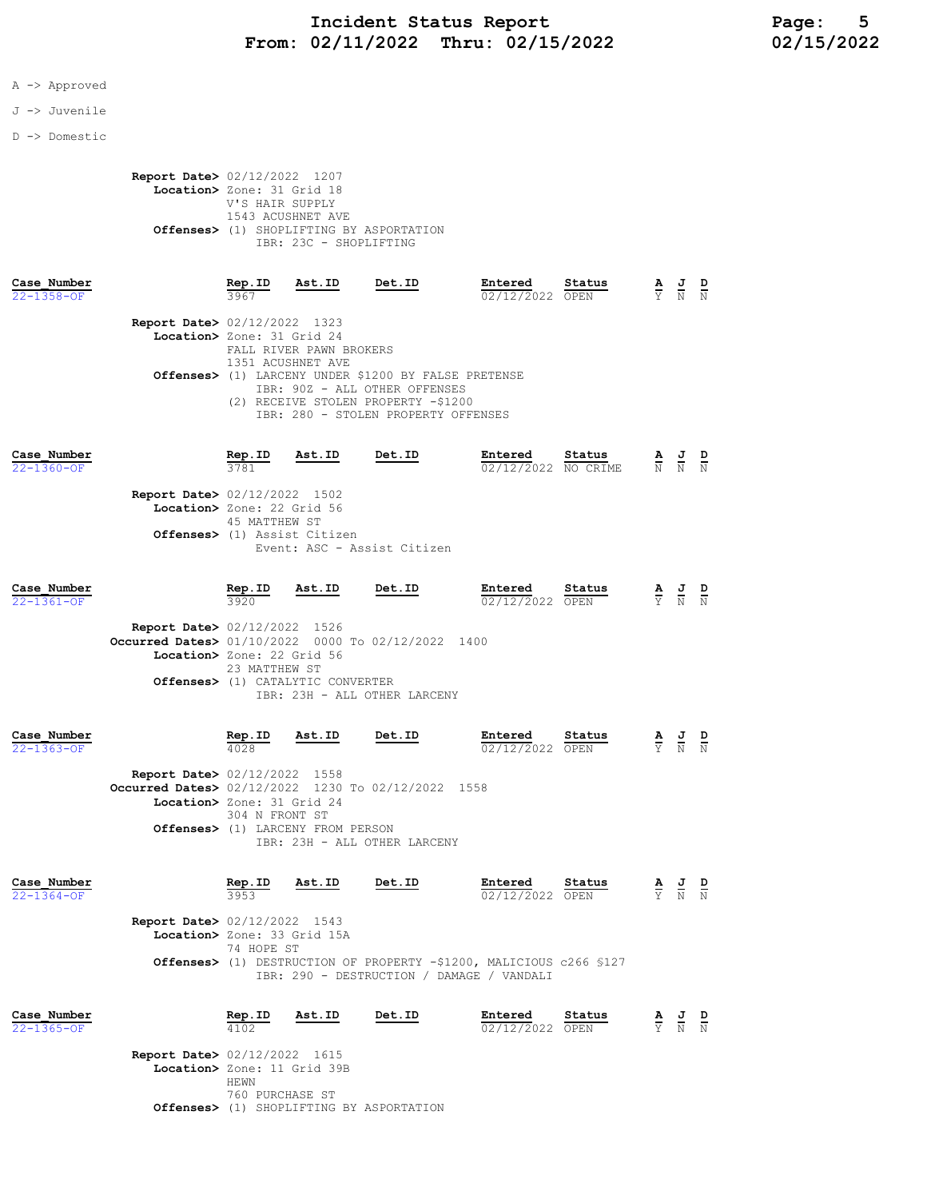#### J -> Juvenile

D -> Domestic

Report Date> 02/12/2022 1207 Location> Zone: 31 Grid 18 V'S HAIR SUPPLY 1543 ACUSHNET AVE Offenses> (1) SHOPLIFTING BY ASPORTATION IBR: 23C - SHOPLIFTING

Case\_Number Rep.ID Ast.ID Det.ID Entered Status A J D 22-1358-OF 3967 3967 3967 22-1358-OF  $\overline{02/12/2022}$  OPEN  $\overline{Y}$  N N Report Date> 02/12/2022 1323 Location> Zone: 31 Grid 24 FALL RIVER PAWN BROKERS 1351 ACUSHNET AVE Offenses> (1) LARCENY UNDER \$1200 BY FALSE PRETENSE IBR: 90Z - ALL OTHER OFFENSES (2) RECEIVE STOLEN PROPERTY -\$1200 IBR: 280 - STOLEN PROPERTY OFFENSES

| Case Number<br>$22 - 1360 - OF$                                      | Rep.ID<br>3781 | Ast.ID                       | Det.ID                      | Entered<br>02/12/2022 NO CRIME | Status | <u>AJ</u><br>N N | D<br>N |
|----------------------------------------------------------------------|----------------|------------------------------|-----------------------------|--------------------------------|--------|------------------|--------|
| <b>Report Date&gt; 02/12/2022 1502</b><br>Location> Zone: 22 Grid 56 | 45 MATTHEW ST  |                              |                             |                                |        |                  |        |
|                                                                      |                | Offenses> (1) Assist Citizen | Event: ASC - Assist Citizen |                                |        |                  |        |

| Case Number<br>$22 - 1361 - 0F$ |                                                                                                                            | Rep.ID         | Ast.ID                            | Det.ID                       | Entered<br>02/12/2022 OPEN                                                                                       | Status         |                                                                                                 | $\frac{\mathbf{A}}{\mathbf{Y}}$ $\frac{\mathbf{J}}{\mathbf{N}}$                                 |  |
|---------------------------------|----------------------------------------------------------------------------------------------------------------------------|----------------|-----------------------------------|------------------------------|------------------------------------------------------------------------------------------------------------------|----------------|-------------------------------------------------------------------------------------------------|-------------------------------------------------------------------------------------------------|--|
|                                 | <b>Report Date&gt; 02/12/2022 1526</b><br>Occurred Dates> 01/10/2022 0000 To 02/12/2022 1400<br>Location> Zone: 22 Grid 56 | 23 MATTHEW ST  | Offenses> (1) CATALYTIC CONVERTER | IBR: 23H - ALL OTHER LARCENY |                                                                                                                  |                |                                                                                                 |                                                                                                 |  |
| Case Number<br>$22 - 1363 - 0F$ |                                                                                                                            | Rep.ID<br>4028 | Ast.ID                            | Det.ID                       | Entered<br>02/12/2022 OPEN                                                                                       | Status         |                                                                                                 | $\frac{A}{Y}$ $\frac{J}{N}$ $\frac{D}{N}$                                                       |  |
|                                 | <b>Report Date&gt; 02/12/2022 1558</b><br>Occurred Dates> 02/12/2022 1230 To 02/12/2022 1558<br>Location> Zone: 31 Grid 24 | 304 N FRONT ST | Offenses> (1) LARCENY FROM PERSON | IBR: 23H - ALL OTHER LARCENY |                                                                                                                  |                |                                                                                                 |                                                                                                 |  |
| Case Number<br>$22 - 1364 - OF$ |                                                                                                                            | Rep.ID<br>3953 | Ast.ID                            | Det.ID                       | Entered<br>02/12/2022 OPEN                                                                                       | Status         | $\frac{\mathbf{A}}{\mathbf{Y}}$ $\frac{\mathbf{J}}{\mathbf{N}}$ $\frac{\mathbf{D}}{\mathbf{N}}$ |                                                                                                 |  |
|                                 | Report Date> 02/12/2022 1543<br>Location> Zone: 33 Grid 15A                                                                | 74 HOPE ST     |                                   |                              | Offenses> (1) DESTRUCTION OF PROPERTY -\$1200, MALICIOUS c266 \$127<br>IBR: 290 - DESTRUCTION / DAMAGE / VANDALI |                |                                                                                                 |                                                                                                 |  |
| Case Number<br>$22 - 1365 - OF$ |                                                                                                                            | Rep.ID<br>4102 | Ast.ID                            | Det.ID                       | Entered<br>02/12/2022                                                                                            | Status<br>OPEN |                                                                                                 | $\frac{\mathbf{A}}{\mathbf{Y}}$ $\frac{\mathbf{J}}{\mathbf{N}}$ $\frac{\mathbf{D}}{\mathbf{N}}$ |  |

 Report Date> 02/12/2022 1615 .<br>Location> Zone: 11 Grid 39B HEWN 760 PURCHASE ST Offenses> (1) SHOPLIFTING BY ASPORTATION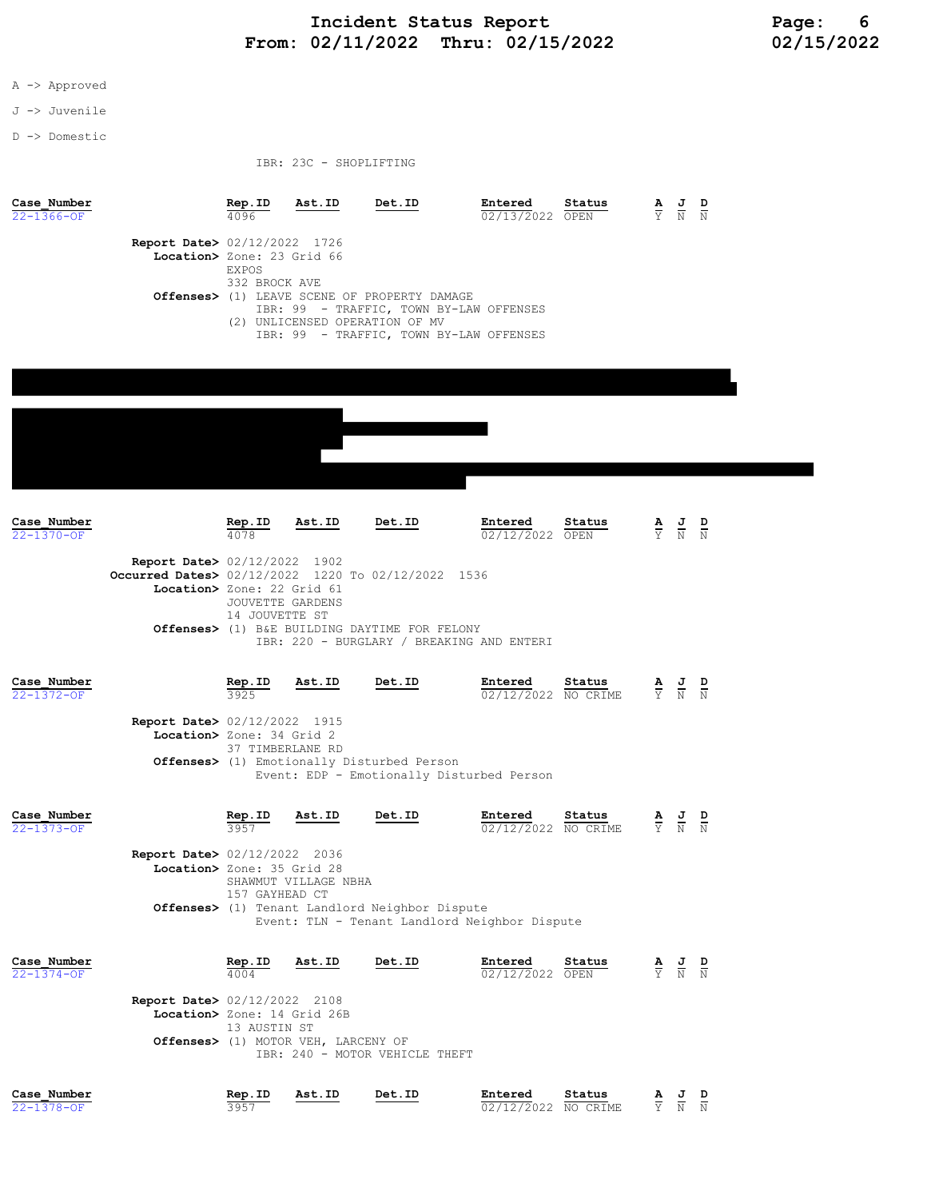# Incident Status Report **Page:** 6 From: 02/11/2022 Thru: 02/15/2022 02/15/2022

#### A -> Approved

J -> Juvenile

D -> Domestic

IBR: 23C - SHOPLIFTING

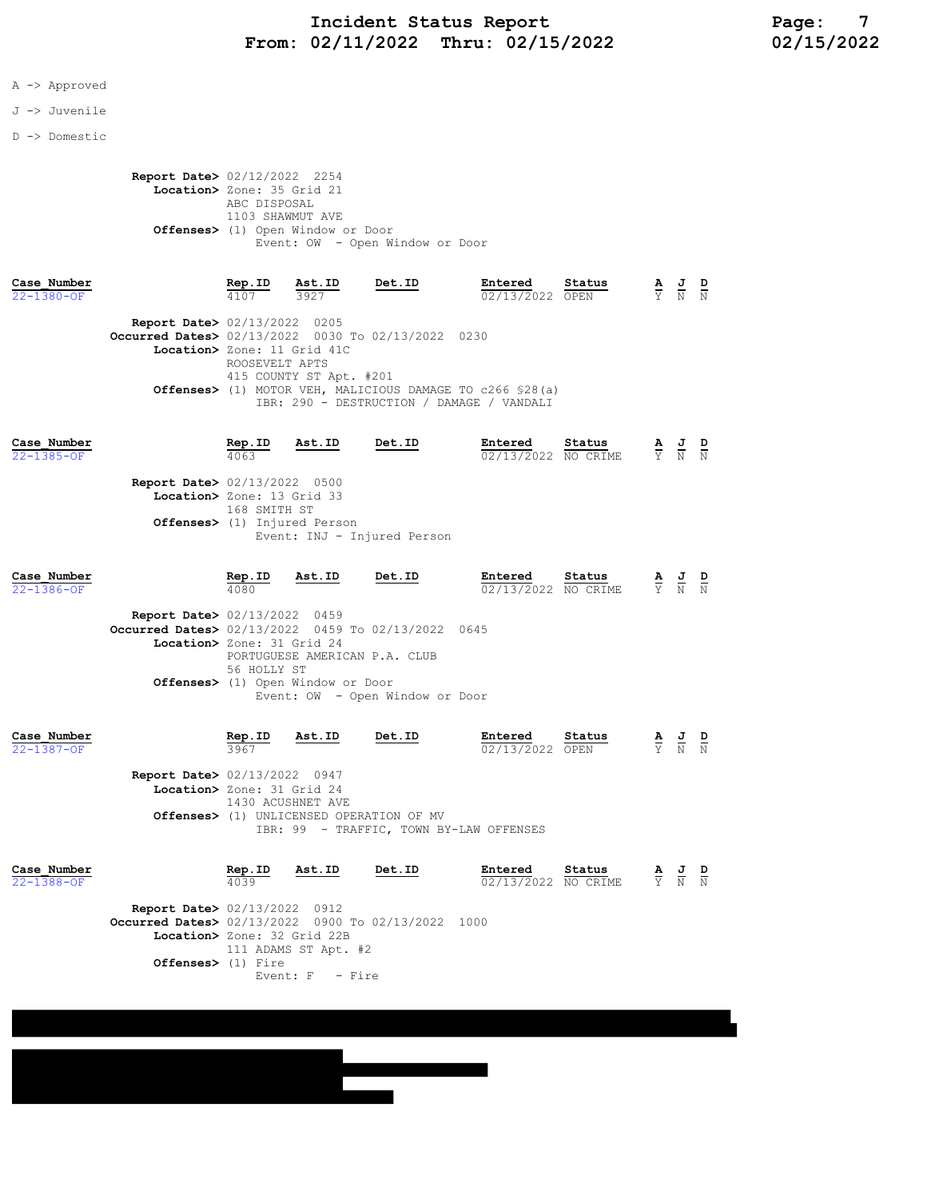#### J -> Juvenile

D -> Domestic

Report Date> 02/12/2022 2254 Location> Zone: 35 Grid 21 ABC DISPOSAL 1103 SHAWMUT AVE Offenses> (1) Open Window or Door Event: OW - Open Window or Door

Case\_Number Rep.ID Ast.ID Det.ID Entered Status A J D 02/13/2022 OPEN Report Date> 02/13/2022 0205 **Occurred Dates>** 02/13/2022 0030 To 02/13/2022 0230 Location> Zone: 11 Grid 41C ROOSEVELT APTS 415 COUNTY ST Apt. #201 Offenses> (1) MOTOR VEH, MALICIOUS DAMAGE TO c266 §28(a) IBR: 290 - DESTRUCTION / DAMAGE / VANDALI

| Rep.ID | Ast.ID | Det.ID                                                                               | Entered                                                     | Status |                     | D                  |
|--------|--------|--------------------------------------------------------------------------------------|-------------------------------------------------------------|--------|---------------------|--------------------|
| 4063   |        |                                                                                      |                                                             |        |                     |                    |
|        |        |                                                                                      |                                                             |        |                     |                    |
|        |        |                                                                                      |                                                             |        |                     |                    |
|        |        |                                                                                      |                                                             |        |                     |                    |
|        |        |                                                                                      |                                                             |        |                     |                    |
|        |        |                                                                                      |                                                             |        |                     |                    |
|        |        | <b>Report Date&gt; 02/13/2022 0500</b><br>Location> Zone: 13 Grid 33<br>168 SMITH ST | Offenses> (1) Injured Person<br>Event: INJ - Injured Person |        | 02/13/2022 NO CRIME | <u>AJ</u><br>Y N N |

| Case Number                     |                                                    | Rep.ID         | Ast.ID                                                                       | Det.ID                          | Entered               | Status         | ≙                   | 프                   | D   |
|---------------------------------|----------------------------------------------------|----------------|------------------------------------------------------------------------------|---------------------------------|-----------------------|----------------|---------------------|---------------------|-----|
| $22 - 1386 - OF$                |                                                    | 4080           |                                                                              |                                 | 02/13/2022 NO CRIME   |                | Y N                 |                     | - N |
|                                 | <b>Report Date&gt; 02/13/2022 0459</b>             |                |                                                                              |                                 |                       |                |                     |                     |     |
|                                 | Occurred Dates> 02/13/2022 0459 To 02/13/2022 0645 |                |                                                                              |                                 |                       |                |                     |                     |     |
|                                 | Location> Zone: 31 Grid 24                         | 56 HOLLY ST    | PORTUGUESE AMERICAN P.A. CLUB<br><b>Offenses&gt;</b> (1) Open Window or Door | Event: OW - Open Window or Door |                       |                |                     |                     |     |
|                                 |                                                    |                |                                                                              |                                 |                       |                |                     |                     |     |
| Case Number<br>$22 - 1387 - OF$ |                                                    | Rep.ID<br>3967 | Ast.ID                                                                       | Det.ID                          | Entered<br>02/13/2022 | Status<br>OPEN | A<br>$\overline{Y}$ | $\overline{a}$<br>N | D   |

 Report Date> 02/13/2022 0947 Location> Zone: 31 Grid 24 1430 ACUSHNET AVE Offenses> (1) UNLICENSED OPERATION OF MV IBR: 99 - TRAFFIC, TOWN BY-LAW OFFENSES

| Case Number                                        | Rep.ID               | Ast.ID            | Det.ID | Entered             | Status | <u>AJ</u> | D |
|----------------------------------------------------|----------------------|-------------------|--------|---------------------|--------|-----------|---|
| $22 - 1388 - OF$                                   | 4039                 |                   |        | 02/13/2022 NO CRIME |        | Y N N     |   |
|                                                    |                      |                   |        |                     |        |           |   |
| <b>Report Date&gt; 02/13/2022 0912</b>             |                      |                   |        |                     |        |           |   |
| Occurred Dates> 02/13/2022 0900 To 02/13/2022 1000 |                      |                   |        |                     |        |           |   |
| Location> Zone: 32 Grid 22B                        |                      |                   |        |                     |        |           |   |
|                                                    | 111 ADAMS ST Apt. #2 |                   |        |                     |        |           |   |
| <b>Offenses&gt;</b> (1) Fire                       |                      |                   |        |                     |        |           |   |
|                                                    |                      | Event: $F -$ Fire |        |                     |        |           |   |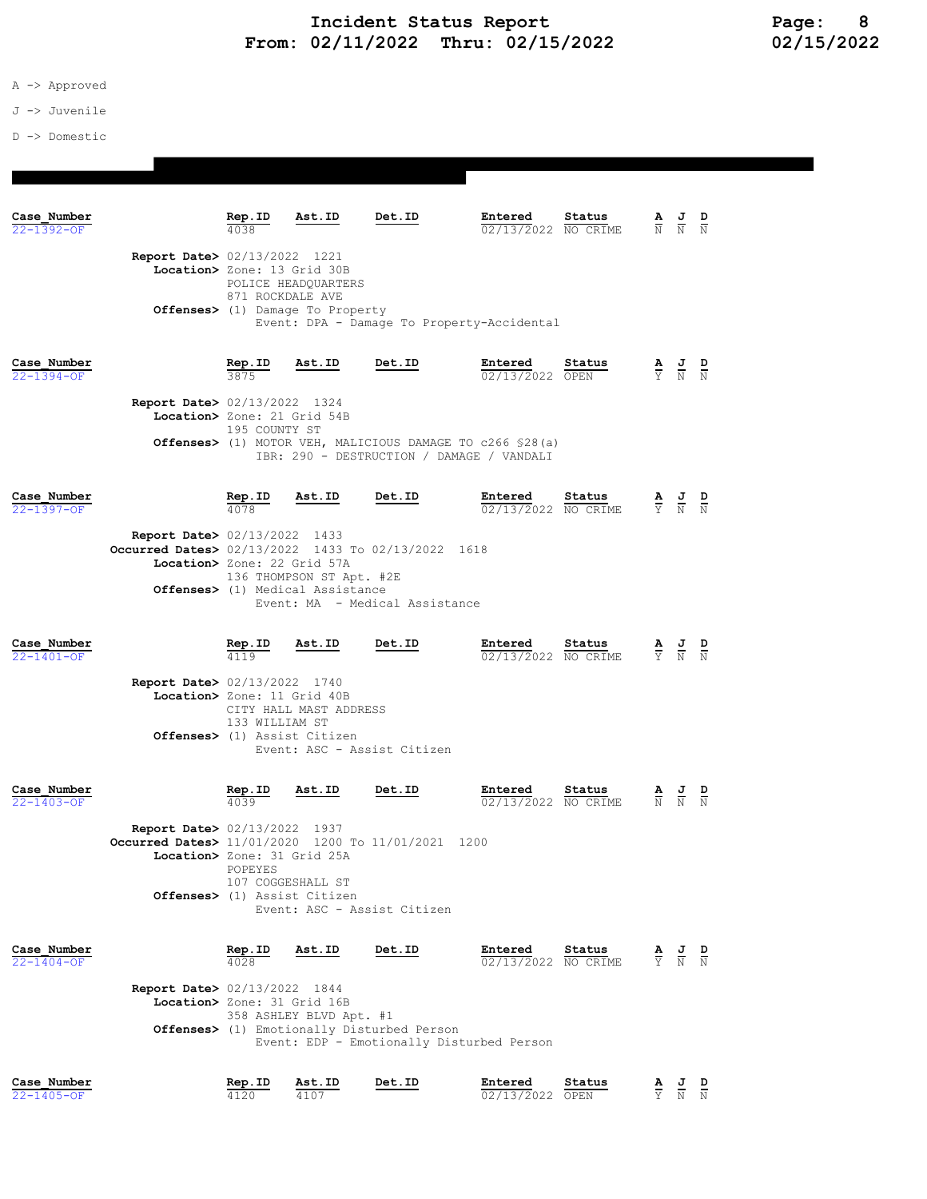- A -> Approved
- J -> Juvenile
- D -> Domestic

| Case Number<br>22-1392-OF       |                                                                                                                                  | Rep.ID<br>4038               | Ast.ID                                                                 | Det.ID                                                                                                 | Entered<br>02/13/2022 NO CRIME | Status | $\overline{\text{N}}$           | $\frac{J}{N}$ | $\frac{D}{N}$  |
|---------------------------------|----------------------------------------------------------------------------------------------------------------------------------|------------------------------|------------------------------------------------------------------------|--------------------------------------------------------------------------------------------------------|--------------------------------|--------|---------------------------------|---------------|----------------|
|                                 | <b>Report Date&gt; 02/13/2022 1221</b><br>Location> Zone: 13 Grid 30B                                                            | 871 ROCKDALE AVE             | POLICE HEADOUARTERS                                                    |                                                                                                        |                                |        |                                 |               |                |
|                                 |                                                                                                                                  |                              | Offenses> (1) Damage To Property                                       | Event: DPA - Damage To Property-Accidental                                                             |                                |        |                                 |               |                |
| Case Number<br>22-1394-OF       |                                                                                                                                  | <u>Rep.ID</u>                | Ast.ID                                                                 | Det.ID                                                                                                 | Entered<br>02/13/2022 OPEN     | Status | $\frac{\mathbf{A}}{\mathbf{Y}}$ | $\frac{J}{N}$ | $\frac{D}{N}$  |
|                                 | Report Date> 02/13/2022 1324<br>Location> Zone: 21 Grid 54B                                                                      | 195 COUNTY ST                |                                                                        |                                                                                                        |                                |        |                                 |               |                |
|                                 |                                                                                                                                  |                              |                                                                        | Offenses> (1) MOTOR VEH, MALICIOUS DAMAGE TO c266 \$28(a)<br>IBR: 290 - DESTRUCTION / DAMAGE / VANDALI |                                |        |                                 |               |                |
| Case Number<br>22-1397-OF       |                                                                                                                                  | Rep.ID<br>4078               | Ast.ID                                                                 | Det.ID                                                                                                 | Entered<br>02/13/2022 NO CRIME | Status | $\frac{\mathbf{A}}{\mathbf{Y}}$ | $\frac{1}{N}$ | $\frac{D}{N}$  |
|                                 | <b>Report Date&gt; 02/13/2022 1433</b><br><b>Occurred Dates&gt;</b> 02/13/2022 1433 To 02/13/2022<br>Location> Zone: 22 Grid 57A |                              | 136 THOMPSON ST Apt. #2E<br><b>Offenses&gt;</b> (1) Medical Assistance | 1618<br>Event: MA - Medical Assistance                                                                 |                                |        |                                 |               |                |
| Case Number<br>22-1401-OF       |                                                                                                                                  | Rep.ID<br>4119               | Ast.ID                                                                 | Det.ID                                                                                                 | Entered<br>02/13/2022 NO CRIME | Status | $\frac{\mathbf{A}}{\mathbf{Y}}$ | $\frac{J}{N}$ | $\frac{D}{N}$  |
|                                 | <b>Report Date&gt; 02/13/2022 1740</b><br>Location> Zone: 11 Grid 40B                                                            | 133 WILLIAM ST               | CITY HALL MAST ADDRESS<br>Offenses> (1) Assist Citizen                 |                                                                                                        |                                |        |                                 |               |                |
|                                 |                                                                                                                                  |                              |                                                                        | Event: ASC - Assist Citizen                                                                            |                                |        |                                 |               |                |
| Case Number<br>22-1403-OF       | <b>Report Date&gt; 02/13/2022 1937</b>                                                                                           | Rep.ID<br>4039               | Ast.ID                                                                 | Det.ID                                                                                                 | Entered<br>02/13/2022 NO CRIME | Status | $\frac{A}{N}$                   | $\frac{J}{N}$ | $\frac{D}{N}$  |
|                                 | Occurred Dates> 11/01/2020 1200 To 11/01/2021<br>Location> Zone: 31 Grid 25A                                                     | POPEYES<br>107 COGGESHALL ST | Offenses> (1) Assist Citizen                                           | 1200<br>Event: ASC - Assist Citizen                                                                    |                                |        |                                 |               |                |
| Case Number<br>$22 - 1404 - OF$ |                                                                                                                                  | Rep.ID<br>4028               | Ast.ID                                                                 | Det.ID                                                                                                 | Entered<br>02/13/2022 NO CRIME | Status | $\frac{\mathbf{A}}{\mathbf{Y}}$ | $\frac{J}{N}$ | $\overline{N}$ |
|                                 | Report Date> 02/13/2022 1844<br>Location> Zone: 31 Grid 16B                                                                      |                              | 358 ASHLEY BLVD Apt. #1                                                | Offenses> (1) Emotionally Disturbed Person<br>Event: EDP - Emotionally Disturbed Person                |                                |        |                                 |               |                |
| Case Number<br>22-1405-OF       |                                                                                                                                  | Rep.ID<br>4120               | Ast.ID<br>4107                                                         | Det.ID                                                                                                 | Entered<br>02/13/2022 OPEN     | Status | Ÿ                               | $\frac{J}{N}$ | $\frac{D}{N}$  |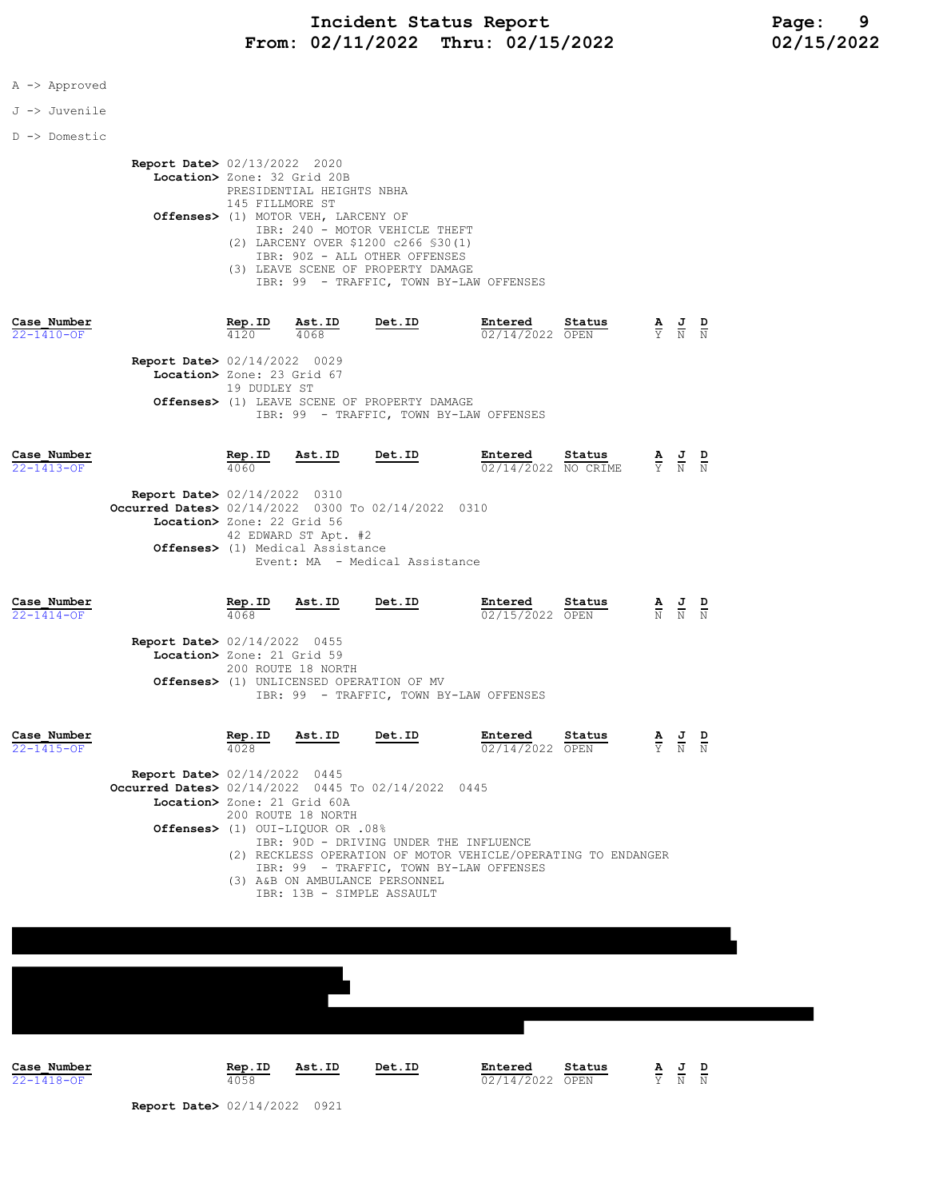- J -> Juvenile
- D -> Domestic

 Report Date> 02/13/2022 2020 Location> Zone: 32 Grid 20B PRESIDENTIAL HEIGHTS NBHA 145 FILLMORE ST Offenses> (1) MOTOR VEH, LARCENY OF IBR: 240 - MOTOR VEHICLE THEFT (2) LARCENY OVER \$1200 c266 §30(1) IBR: 90Z - ALL OTHER OFFENSES (3) LEAVE SCENE OF PROPERTY DAMAGE IBR: 99 - TRAFFIC, TOWN BY-LAW OFFENSES

| Case Number      |                                        | Rep.ID       | Ast.ID | Det.ID                                       | Entered                                 | Status | <u>AJD</u> |  |
|------------------|----------------------------------------|--------------|--------|----------------------------------------------|-----------------------------------------|--------|------------|--|
| $22 - 1410 - OF$ |                                        | 4120         | 4068   |                                              | 02/14/2022 OPEN                         |        | Y N N      |  |
|                  | <b>Report Date&gt; 02/14/2022 0029</b> |              |        |                                              |                                         |        |            |  |
|                  | Location> Zone: 23 Grid 67             |              |        |                                              |                                         |        |            |  |
|                  |                                        | 19 DUDLEY ST |        |                                              |                                         |        |            |  |
|                  |                                        |              |        | Offenses> (1) LEAVE SCENE OF PROPERTY DAMAGE |                                         |        |            |  |
|                  |                                        |              |        |                                              | IBR: 99 - TRAFFIC, TOWN BY-LAW OFFENSES |        |            |  |

| Case Number      |                                                    | Rep.ID | Ast.ID               | Det.ID                         | Entered             | Status  | $\mathbf{A}$ | 프      | D |  |  |  |  |  |
|------------------|----------------------------------------------------|--------|----------------------|--------------------------------|---------------------|---------|--------------|--------|---|--|--|--|--|--|
| $22 - 1413 - 0F$ |                                                    | 4060   |                      |                                | 02/14/2022 NO CRIME |         | Y N          |        | N |  |  |  |  |  |
|                  | <b>Report Date&gt; 02/14/2022 0310</b>             |        |                      |                                |                     |         |              |        |   |  |  |  |  |  |
|                  | Occurred Dates> 02/14/2022 0300 To 02/14/2022 0310 |        |                      |                                |                     |         |              |        |   |  |  |  |  |  |
|                  | Location> Zone: 22 Grid 56                         |        |                      |                                |                     |         |              |        |   |  |  |  |  |  |
|                  |                                                    |        | 42 EDWARD ST Apt. #2 |                                |                     |         |              |        |   |  |  |  |  |  |
|                  | Offenses> (1) Medical Assistance                   |        |                      |                                |                     |         |              |        |   |  |  |  |  |  |
|                  |                                                    |        |                      | Event: MA - Medical Assistance |                     |         |              |        |   |  |  |  |  |  |
|                  |                                                    |        |                      |                                |                     |         |              |        |   |  |  |  |  |  |
| Case Number      |                                                    | Dan TD | Aet Th               | חד + בח                        | Fotored             | $C + 1$ |              | ח ד. ג |   |  |  |  |  |  |

Case\_Number Rep.ID Ast.ID Det.ID Entered Status A J D  $22-1414$ -OF  $\overline{N}$   $\overline{N}$   $\overline{N}$   $\overline{N}$   $\overline{N}$   $\overline{N}$   $\overline{N}$   $\overline{N}$   $\overline{N}$   $\overline{N}$   $\overline{N}$   $\overline{N}$   $\overline{N}$   $\overline{N}$   $\overline{N}$   $\overline{N}$   $\overline{N}$   $\overline{N}$   $\overline{N}$   $\overline{N}$   $\overline{N}$   $\overline{N}$   $\overline{N}$  Report Date> 02/14/2022 0455 Location> Zone: 21 Grid 59 200 ROUTE 18 NORTH Offenses> (1) UNLICENSED OPERATION OF MV IBR: 99 - TRAFFIC, TOWN BY-LAW OFFENSES  $\frac{\text{Case Number}}{22-1415-\text{OF}}$  Rep.ID Ast.ID Det.ID Entered Status A J D<br> $\frac{7}{22-1415-\text{OF}}$   $\frac{8}{N}$   $\frac{J}{N}$   $\frac{D}{N}$ 4028 **1228 122-14/2022 OPEN**  Report Date> 02/14/2022 0445 Occurred Dates> 02/14/2022 0445 To 02/14/2022 0445 Location> Zone: 21 Grid 60A 200 ROUTE 18 NORTH Offenses> (1) OUI-LIQUOR OR .08% IBR: 90D - DRIVING UNDER THE INFLUENCE (2) RECKLESS OPERATION OF MOTOR VEHICLE/OPERATING TO ENDANGER IBR: 99 - TRAFFIC, TOWN BY-LAW OFFENSES (3) A&B ON AMBULANCE PERSONNEL IBR: 13B - SIMPLE ASSAULT



Report Date> 02/14/2022 0921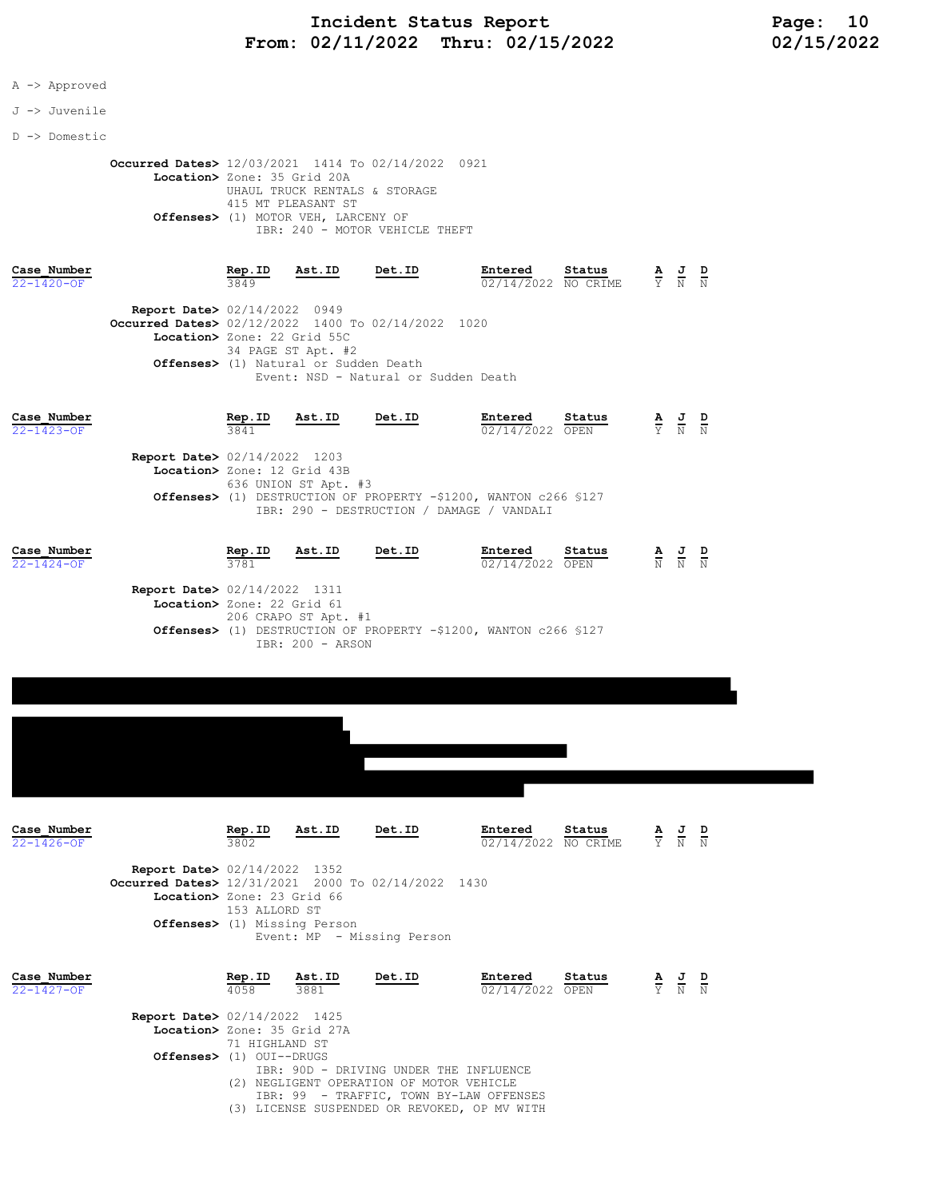# Incident Status Report Page: 10 From: 02/11/2022 Thru: 02/15/2022 02/15/2022

### A -> Approved

#### J -> Juvenile

#### D -> Domestic

 Occurred Dates> 12/03/2021 1414 To 02/14/2022 0921 Location> Zone: 35 Grid 20A UHAUL TRUCK RENTALS & STORAGE 415 MT PLEASANT ST Offenses> (1) MOTOR VEH, LARCENY OF IBR: 240 - MOTOR VEHICLE THEFT

| Case Number<br>$22 - 1420 - OF$ |               | Rep.ID<br>3849                                                                                                                                                                                                                                         | Ast.ID | Det.ID | Entered<br>02/14/2022 NO CRIME   | Status         |  | $\frac{\mathbf{A}}{\mathbf{Y}}$ $\frac{\mathbf{J}}{\mathbf{N}}$ | D<br>N         |  |  |  |  |
|---------------------------------|---------------|--------------------------------------------------------------------------------------------------------------------------------------------------------------------------------------------------------------------------------------------------------|--------|--------|----------------------------------|----------------|--|-----------------------------------------------------------------|----------------|--|--|--|--|
|                                 |               | <b>Report Date&gt; 02/14/2022 0949</b><br><b>Occurred Dates&gt;</b> 02/12/2022 1400 To 02/14/2022 1020<br>Location> Zone: 22 Grid 55C<br>34 PAGE ST Apt. #2<br><b>Offenses&gt;</b> (1) Natural or Sudden Death<br>Event: NSD - Natural or Sudden Death |        |        |                                  |                |  |                                                                 |                |  |  |  |  |
| Case Number<br>$22 - 1423 - OF$ | $B_{2} = 100$ | Rep.ID<br>3841                                                                                                                                                                                                                                         | Ast.ID | Det.ID | Entered<br>$\frac{02}{14}$ /2022 | Status<br>OPEN |  | $\frac{\mathbf{A}}{\mathrm{Y}}$ $\frac{\mathbf{J}}{\mathrm{N}}$ | $\overline{D}$ |  |  |  |  |

| <b>Report Date&gt;</b> $UZ/L4/ZUZZ = IZU3$                       |
|------------------------------------------------------------------|
| Location> Zone: 12 Grid 43B                                      |
| 636 UNION ST Apt. #3                                             |
| Offenses> (1) DESTRUCTION OF PROPERTY -\$1200, WANTON c266 \$127 |
| IBR: 290 - DESTRUCTION / DAMAGE / VANDALI                        |

| Case Number<br>$22 - 1424 - OF$                                      | Rep.ID<br>3781 | Ast.ID                                     | Det.ID                                                           | Entered<br>02/14/2022 OPEN | Status | A J | $\overline{N}$ $\overline{N}$ $\overline{N}$ |  |
|----------------------------------------------------------------------|----------------|--------------------------------------------|------------------------------------------------------------------|----------------------------|--------|-----|----------------------------------------------|--|
| <b>Report Date&gt; 02/14/2022 1311</b><br>Location> Zone: 22 Grid 61 |                | 206 CRAPO ST Apt. #1<br>$TRR: 200 - ARSON$ | Offenses> (1) DESTRUCTION OF PROPERTY -\$1200, WANTON c266 \$127 |                            |        |     |                                              |  |

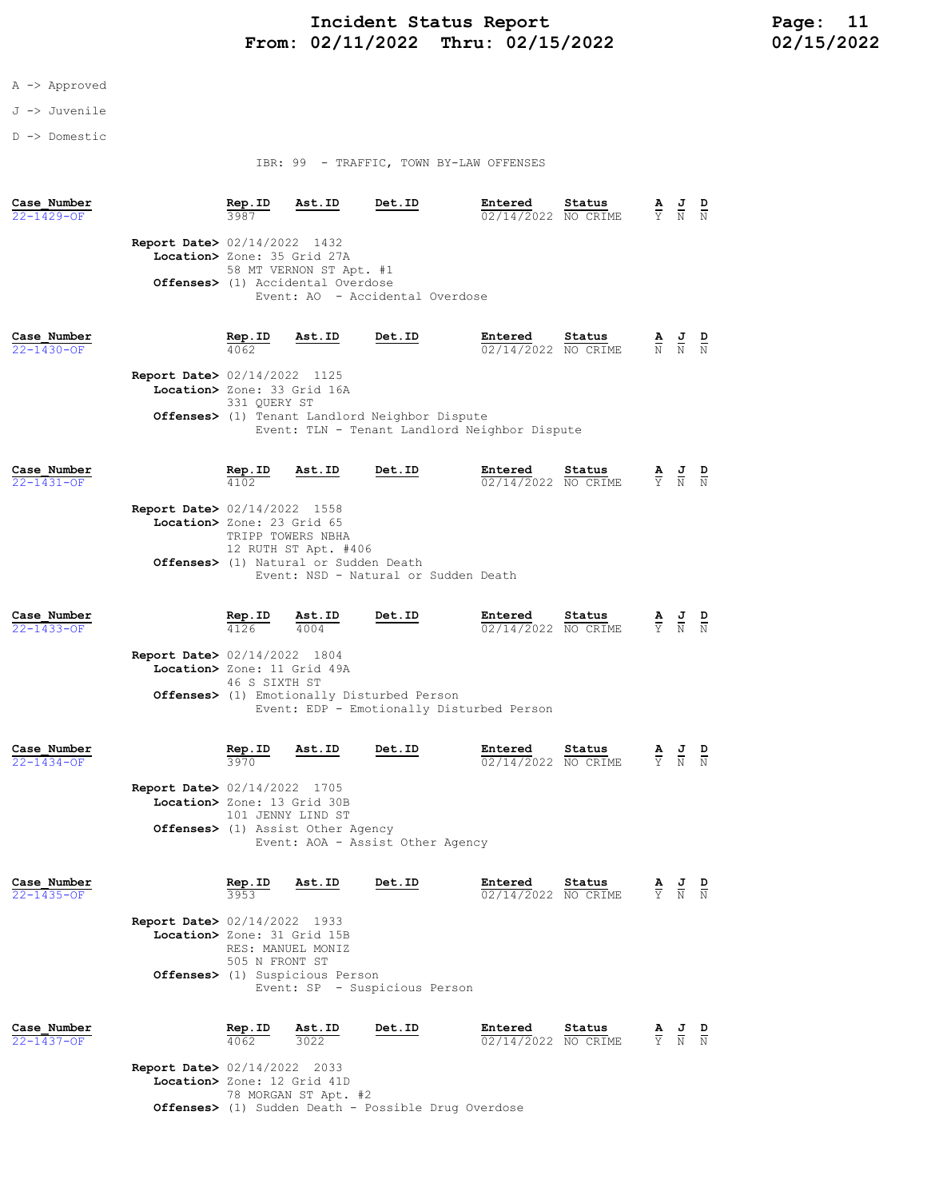### J -> Juvenile

D -> Domestic

IBR: 99 - TRAFFIC, TOWN BY-LAW OFFENSES

| Case Number<br>22-1429-OF       |                                                                       | Rep.ID                              | Ast.ID                                                       | Det.ID                                                                                          | Entered<br>02/14/2022 NO CRIME | Status |                                                                                                 | $rac{J}{N}$   |                |
|---------------------------------|-----------------------------------------------------------------------|-------------------------------------|--------------------------------------------------------------|-------------------------------------------------------------------------------------------------|--------------------------------|--------|-------------------------------------------------------------------------------------------------|---------------|----------------|
|                                 | <b>Report Date&gt; 02/14/2022 1432</b><br>Location> Zone: 35 Grid 27A |                                     | 58 MT VERNON ST Apt. #1<br>Offenses> (1) Accidental Overdose | Event: AO - Accidental Overdose                                                                 |                                |        |                                                                                                 |               |                |
| Case Number<br>22-1430-OF       |                                                                       | <u>Rep.ID</u>                       | Ast.ID                                                       | Det.ID                                                                                          | Entered<br>02/14/2022 NO CRIME | Status | $\frac{\mathbf{A}}{\mathbf{N}}$ $\frac{\mathbf{J}}{\mathbf{N}}$ $\frac{\mathbf{D}}{\mathbf{N}}$ |               |                |
|                                 | Report Date> 02/14/2022 1125<br>Location> Zone: 33 Grid 16A           | 331 QUERY ST                        |                                                              | Offenses> (1) Tenant Landlord Neighbor Dispute<br>Event: TLN - Tenant Landlord Neighbor Dispute |                                |        |                                                                                                 |               |                |
| Case Number<br>22-1431-OF       |                                                                       | Rep.ID<br>4102                      | Ast.ID                                                       | <b>Det.ID</b>                                                                                   | Entered<br>02/14/2022 NO CRIME | Status | $\frac{\mathbf{A}}{\mathbf{Y}}$                                                                 | $\frac{J}{N}$ |                |
|                                 | <b>Report Date&gt;</b> 02/14/2022 1558<br>Location> Zone: 23 Grid 65  | TRIPP TOWERS NBHA                   | 12 RUTH ST Apt. #406                                         |                                                                                                 |                                |        |                                                                                                 |               |                |
|                                 |                                                                       |                                     | Offenses> (1) Natural or Sudden Death                        | Event: NSD - Natural or Sudden Death                                                            |                                |        |                                                                                                 |               |                |
| Case Number<br>22-1433-OF       |                                                                       | Rep.ID<br>4126                      | Ast.ID<br>4004                                               | Det.ID                                                                                          | Entered<br>02/14/2022 NO CRIME | Status | $\frac{\mathbf{A}}{\mathbf{Y}}$ $\frac{\mathbf{J}}{\mathbf{N}}$                                 |               |                |
|                                 | <b>Report Date&gt;</b> 02/14/2022 1804<br>Location> Zone: 11 Grid 49A | 46 S SIXTH ST                       |                                                              | Offenses> (1) Emotionally Disturbed Person<br>Event: EDP - Emotionally Disturbed Person         |                                |        |                                                                                                 |               |                |
| Case Number<br>$22 - 1434 - OF$ |                                                                       | Rep.ID<br>3970                      | Ast.ID                                                       | Det.ID                                                                                          | Entered<br>02/14/2022 NO CRIME | Status | $\frac{\mathbf{A}}{\mathbf{Y}}$                                                                 | $\frac{1}{N}$ | $\frac{D}{N}$  |
|                                 | <b>Report Date&gt; 02/14/2022 1705</b><br>Location> Zone: 13 Grid 30B | 101 JENNY LIND ST                   | Offenses> (1) Assist Other Agency                            | Event: AOA - Assist Other Agency                                                                |                                |        |                                                                                                 |               |                |
| Case Number                     |                                                                       | Rep.ID                              | Ast.ID                                                       | <b>Det.ID</b>                                                                                   | Entered                        | Status |                                                                                                 |               |                |
| $22 - 1435 - OF$                | <b>Report Date&gt; 02/14/2022 1933</b><br>Location> Zone: 31 Grid 15B | RES: MANUEL MONIZ<br>505 N FRONT ST |                                                              |                                                                                                 | 02/14/2022 NO CRIME            |        |                                                                                                 |               | $\overline{N}$ |
|                                 |                                                                       |                                     | <b>Offenses&gt;</b> (1) Suspicious Person                    | Event: SP - Suspicious Person                                                                   |                                |        |                                                                                                 |               |                |
| Case Number<br>22-1437-OF       |                                                                       | Rep.ID                              | Ast.ID                                                       | <b>Det.ID</b>                                                                                   | Entered<br>02/14/2022 NO CRIME | Status |                                                                                                 | $\frac{1}{N}$ | $\frac{D}{N}$  |
|                                 | <b>Report Date&gt; 02/14/2022 2033</b><br>Location> Zone: 12 Grid 41D |                                     | 78 MORGAN ST Apt. #2                                         | Offenses> (1) Sudden Death - Possible Drug Overdose                                             |                                |        |                                                                                                 |               |                |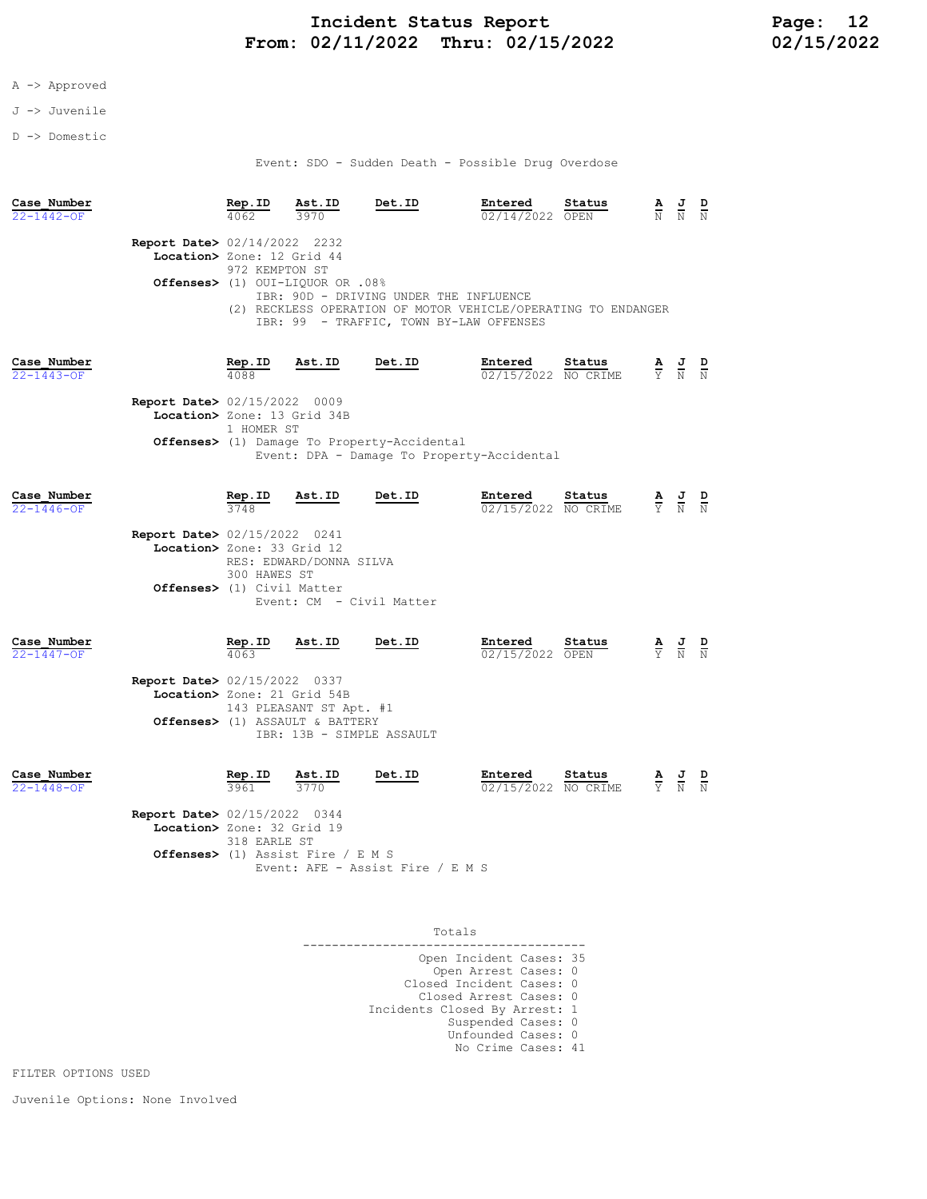### J -> Juvenile

D -> Domestic

### Event: SDO - Sudden Death - Possible Drug Overdose

| Case Number<br>$22 - 1442 - 0F$ |                                                                       | Rep.ID<br>4062              | Ast.ID<br>3970                                             | Det.ID                                                                                                                                             | Entered<br>02/14/2022 OPEN     | Status | $\overline{N}$                                                  | $\overline{N}$ |               |
|---------------------------------|-----------------------------------------------------------------------|-----------------------------|------------------------------------------------------------|----------------------------------------------------------------------------------------------------------------------------------------------------|--------------------------------|--------|-----------------------------------------------------------------|----------------|---------------|
|                                 | <b>Report Date&gt;</b> 02/14/2022 2232<br>Location> Zone: 12 Grid 44  | 972 KEMPTON ST              | Offenses> (1) OUI-LIQUOR OR .08%                           | IBR: 90D - DRIVING UNDER THE INFLUENCE<br>(2) RECKLESS OPERATION OF MOTOR VEHICLE/OPERATING TO ENDANGER<br>IBR: 99 - TRAFFIC, TOWN BY-LAW OFFENSES |                                |        |                                                                 |                |               |
| Case Number<br>$22 - 1443 - OF$ |                                                                       | Rep.ID<br>4088              | Ast.ID                                                     | Det.ID                                                                                                                                             | Entered<br>02/15/2022 NO CRIME | Status | $\frac{\mathbf{A}}{\mathbf{Y}}$ $\frac{\mathbf{J}}{\mathbf{N}}$ |                |               |
|                                 | <b>Report Date&gt; 02/15/2022 0009</b><br>Location> Zone: 13 Grid 34B |                             |                                                            |                                                                                                                                                    |                                |        |                                                                 |                |               |
|                                 |                                                                       | 1 HOMER ST                  |                                                            |                                                                                                                                                    |                                |        |                                                                 |                |               |
|                                 |                                                                       |                             |                                                            | <b>Offenses&gt;</b> (1) Damage To Property-Accidental<br>Event: DPA - Damage To Property-Accidental                                                |                                |        |                                                                 |                |               |
| Case Number<br>$22 - 1446 - OF$ |                                                                       | Rep.ID<br>3748              | Ast.ID                                                     | Det.ID                                                                                                                                             | Entered<br>02/15/2022 NO CRIME | Status | $\frac{\mathbf{A}}{\mathrm{Y}}$                                 | $\frac{J}{N}$  | $\frac{D}{N}$ |
|                                 | <b>Report Date&gt; 02/15/2022 0241</b><br>Location> Zone: 33 Grid 12  | 300 HAWES ST                | RES: EDWARD/DONNA SILVA                                    |                                                                                                                                                    |                                |        |                                                                 |                |               |
|                                 | Offenses> (1) Civil Matter                                            |                             | Event: CM - Civil Matter                                   |                                                                                                                                                    |                                |        |                                                                 |                |               |
| Case Number<br>22-1447-OF       |                                                                       | Rep.ID                      | Ast.ID                                                     | Det.ID                                                                                                                                             | Entered<br>02/15/2022 OPEN     | Status | $\frac{\mathbf{A}}{\mathbf{Y}}$ $\frac{\mathbf{J}}{\mathbf{N}}$ |                |               |
|                                 | <b>Report Date&gt; 02/15/2022 0337</b><br>Location> Zone: 21 Grid 54B |                             |                                                            |                                                                                                                                                    |                                |        |                                                                 |                |               |
|                                 |                                                                       |                             | 143 PLEASANT ST Apt. #1<br>Offenses> (1) ASSAULT & BATTERY |                                                                                                                                                    |                                |        |                                                                 |                |               |
|                                 |                                                                       |                             | IBR: 13B - SIMPLE ASSAULT                                  |                                                                                                                                                    |                                |        |                                                                 |                |               |
| Case Number<br>$22 - 1448 - OF$ |                                                                       | $rac{\text{Rep. ID}}{3961}$ | $\frac{\text{Ast. ID}}{3770}$                              | Det.ID                                                                                                                                             | Entered<br>02/15/2022 NO CRIME | Status | $\frac{\mathbf{A}}{\mathbf{V}}$                                 | $\frac{J}{N}$  |               |
|                                 | <b>Report Date&gt; 02/15/2022 0344</b><br>Location> Zone: 32 Grid 19  | 318 EARLE ST                |                                                            |                                                                                                                                                    |                                |        |                                                                 |                |               |
|                                 |                                                                       |                             | Offenses> (1) Assist Fire / E M S                          |                                                                                                                                                    |                                |        |                                                                 |                |               |

| Totals                                                                                                                                                                             |  |
|------------------------------------------------------------------------------------------------------------------------------------------------------------------------------------|--|
| Open Incident Cases: 35<br>Open Arrest Cases: 0<br>Closed Incident Cases: 0<br>Closed Arrest Cases: 0<br>Incidents Closed By Arrest: 1<br>Suspended Cases: 0<br>Unfounded Cases: 0 |  |
| No Crime Cases: 41                                                                                                                                                                 |  |

FILTER OPTIONS USED

Juvenile Options: None Involved

Event: AFE - Assist Fire / E M S